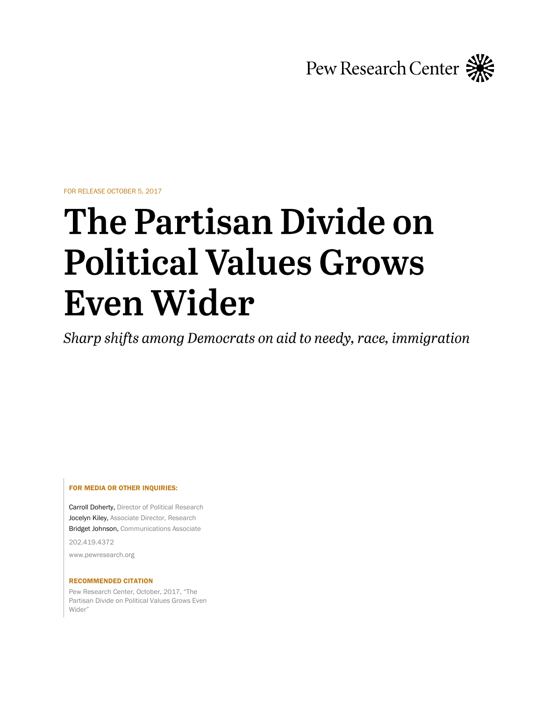

FOR RELEASE OCTOBER 5, 2017

# **The Partisan Divide on Political Values Grows Even Wider**

Sharp shifts among Democrats on aid to needy, race, immigration

### FOR MEDIA OR OTHER INQUIRIES:

Carroll Doherty, Director of Political Research Jocelyn Kiley, Associate Director, Research Bridget Johnson, Communications Associate

202.419.4372

www.pewresearch.org

#### RECOMMENDED CITATION

Pew Research Center, October, 2017, "The Partisan Divide on Political Values Grows Even Wider"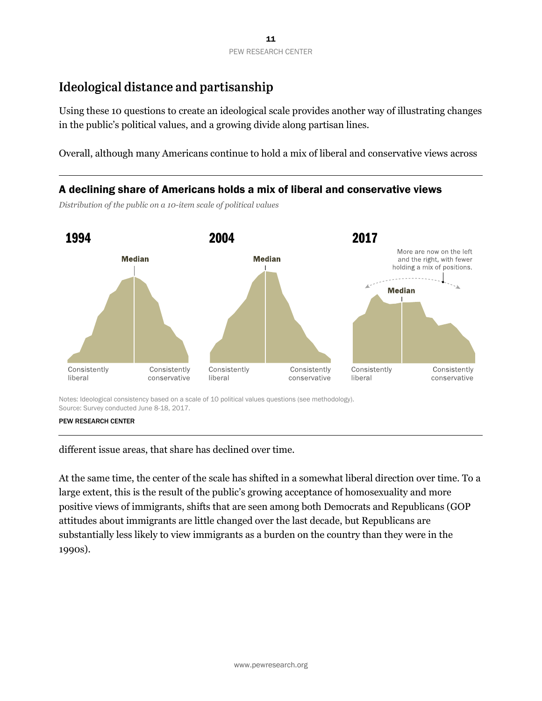## Ideological distance and partisanship

Using these 10 questions to create an ideological scale provides another way of illustrating changes in the public's political values, and a growing divide along partisan lines.

Overall, although many Americans continue to hold a mix of liberal and conservative views across

## A declining share of Americans holds a mix of liberal and conservative views

*Distribution of the public on a 10-item scale of political values*



Notes: Ideological consistency based on a scale of 10 political values questions (see methodology). Source: Survey conducted June 8-18, 2017.

different issue areas, that share has declined over time.

At the same time, the center of the scale has shifted in a somewhat liberal direction over time. To a large extent, this is the result of the public's growing acceptance of homosexuality and more positive views of immigrants, shifts that are seen among both Democrats and Republicans (GOP attitudes about immigrants are little changed over the last decade, but Republicans are substantially less likely to view immigrants as a burden on the country than they were in the 1990s).

PEW RESEARCH CENTER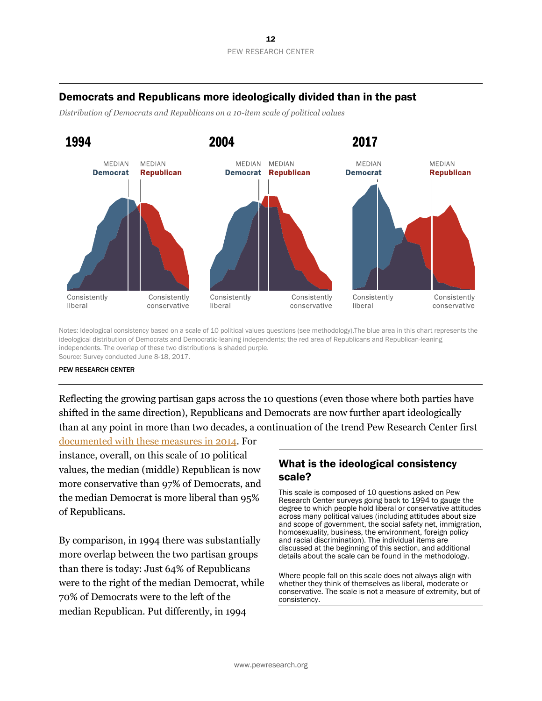## Democrats and Republicans more ideologically divided than in the past

*Distribution of Democrats and Republicans on a 10-item scale of political values*



Notes: Ideological consistency based on a scale of 10 political values questions (see methodology).The blue area in this chart represents the ideological distribution of Democrats and Democratic-leaning independents; the red area of Republicans and Republican-leaning independents. The overlap of these two distributions is shaded purple. Source: Survey conducted June 8-18, 2017.

### PEW RESEARCH CENTER

Reflecting the growing partisan gaps across the 10 questions (even those where both parties have shifted in the same direction), Republicans and Democrats are now further apart ideologically than at any point in more than two decades, a continuation of the trend Pew Research Center first

[documented with these measures in 2014.](http://www.people-press.org/2014/06/12/political-polarization-in-the-american-public/) For instance, overall, on this scale of 10 political values, the median (middle) Republican is now more conservative than 97% of Democrats, and the median Democrat is more liberal than 95% of Republicans.

By comparison, in 1994 there was substantially more overlap between the two partisan groups than there is today: Just 64% of Republicans were to the right of the median Democrat, while 70% of Democrats were to the left of the median Republican. Put differently, in 1994

## What is the ideological consistency scale?

This scale is composed of 10 questions asked on Pew Research Center surveys going back to 1994 to gauge the degree to which people hold liberal or conservative attitudes across many political values (including attitudes about size and scope of government, the social safety net, immigration, homosexuality, business, the environment, foreign policy and racial discrimination). The individual items are discussed at the beginning of this section, and additional details about the scale can be found in the methodology.

Where people fall on this scale does not always align with whether they think of themselves as liberal, moderate or conservative. The scale is not a measure of extremity, but of consistency.